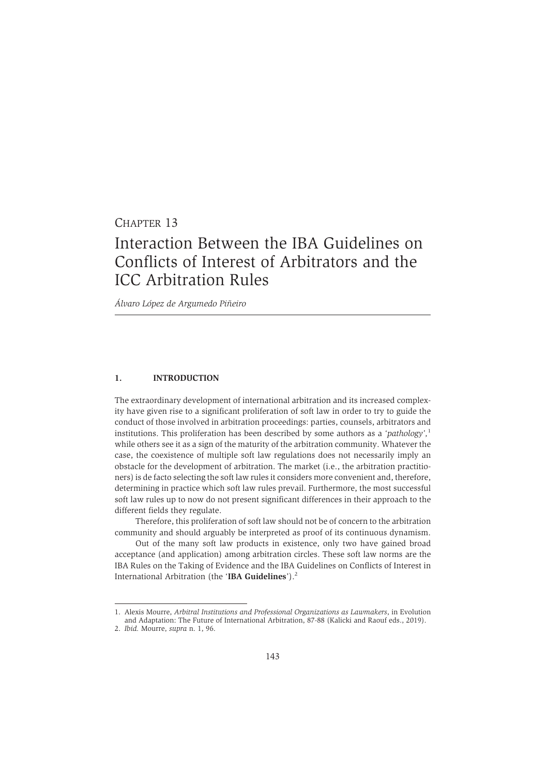## CHAPTER 13

# Interaction Between the IBA Guidelines on Conflicts of Interest of Arbitrators and the ICC Arbitration Rules

*Álvaro López de Argumedo Piñeiro*

## **1. INTRODUCTION**

The extraordinary development of international arbitration and its increased complexity have given rise to a significant proliferation of soft law in order to try to guide the conduct of those involved in arbitration proceedings: parties, counsels, arbitrators and institutions. This proliferation has been described by some authors as a *'pathology',*<sup>1</sup> while others see it as a sign of the maturity of the arbitration community. Whatever the case, the coexistence of multiple soft law regulations does not necessarily imply an obstacle for the development of arbitration. The market (i.e., the arbitration practitioners) is de facto selecting the soft law rules it considers more convenient and, therefore, determining in practice which soft law rules prevail. Furthermore, the most successful soft law rules up to now do not present significant differences in their approach to the different fields they regulate.

Therefore, this proliferation of soft law should not be of concern to the arbitration community and should arguably be interpreted as proof of its continuous dynamism.

Out of the many soft law products in existence, only two have gained broad acceptance (and application) among arbitration circles. These soft law norms are the IBA Rules on the Taking of Evidence and the IBA Guidelines on Conflicts of Interest in International Arbitration (the '**IBA Guidelines**').<sup>2</sup>

<sup>1.</sup> Alexis Mourre, *Arbitral Institutions and Professional Organizations as Lawmakers*, in Evolution and Adaptation: The Future of International Arbitration, 87-88 (Kalicki and Raouf eds., 2019).

<sup>2.</sup> *Ibid.* Mourre, *supra* n. 1, 96.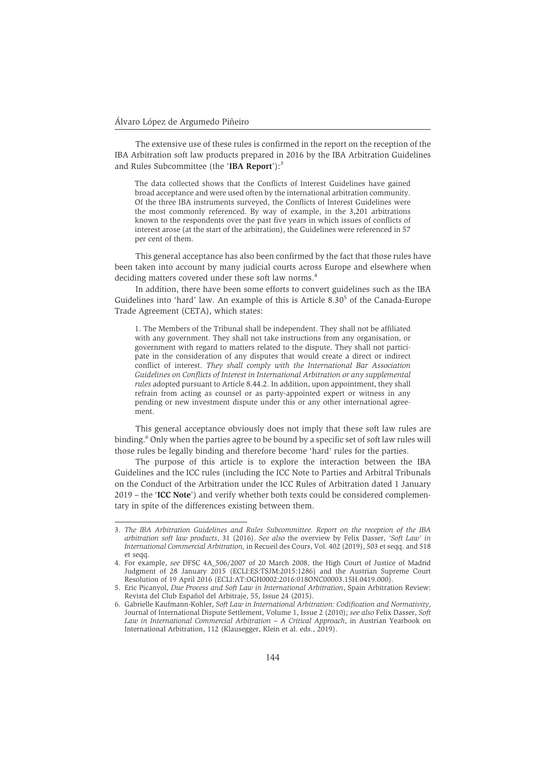The extensive use of these rules is confirmed in the report on the reception of the IBA Arbitration soft law products prepared in 2016 by the IBA Arbitration Guidelines and Rules Subcommittee (the 'IBA Report'):<sup>3</sup>

The data collected shows that the Conflicts of Interest Guidelines have gained broad acceptance and were used often by the international arbitration community. Of the three IBA instruments surveyed, the Conflicts of Interest Guidelines were the most commonly referenced. By way of example, in the 3,201 arbitrations known to the respondents over the past five years in which issues of conflicts of interest arose (at the start of the arbitration), the Guidelines were referenced in 57 per cent of them.

This general acceptance has also been confirmed by the fact that those rules have been taken into account by many judicial courts across Europe and elsewhere when deciding matters covered under these soft law norms.<sup>4</sup>

In addition, there have been some efforts to convert guidelines such as the IBA Guidelines into 'hard' law. An example of this is Article 8.30<sup>5</sup> of the Canada-Europe Trade Agreement (CETA), which states:

1. The Members of the Tribunal shall be independent. They shall not be affiliated with any government. They shall not take instructions from any organisation, or government with regard to matters related to the dispute. They shall not participate in the consideration of any disputes that would create a direct or indirect conflict of interest. *They shall comply with the International Bar Association Guidelines on Conflicts of Interest in International Arbitration or any supplemental rules* adopted pursuant to Article 8.44.2. In addition, upon appointment, they shall refrain from acting as counsel or as party-appointed expert or witness in any pending or new investment dispute under this or any other international agreement.

This general acceptance obviously does not imply that these soft law rules are binding.<sup>6</sup> Only when the parties agree to be bound by a specific set of soft law rules will those rules be legally binding and therefore become 'hard' rules for the parties.

The purpose of this article is to explore the interaction between the IBA Guidelines and the ICC rules (including the ICC Note to Parties and Arbitral Tribunals on the Conduct of the Arbitration under the ICC Rules of Arbitration dated 1 January 2019 – the '**ICC Note**') and verify whether both texts could be considered complementary in spite of the differences existing between them.

<sup>3.</sup> *The IBA Arbitration Guidelines and Rules Subcommittee. Report on the reception of the IBA arbitration soft law products*, 31 (2016). *See also* the overview by Felix Dasser, *'Soft Law' in International Commercial Arbitration,* in Recueil des Cours, Vol. 402 (2019), 503 et seqq. and 518 et seqq.

<sup>4.</sup> For example, *see* DFSC 4A\_506/2007 of 20 March 2008, the High Court of Justice of Madrid Judgment of 28 January 2015 (ECLI:ES:TSJM:2015:1286) and the Austrian Supreme Court Resolution of 19 April 2016 (ECLI:AT:OGH0002:2016:018ONC00003.15H.0419.000).

<sup>5.</sup> Eric Picanyol, *Due Process and Soft Law in International Arbitration*, Spain Arbitration Review: Revista del Club Español del Arbitraje, 55, Issue 24 (2015).

<sup>6.</sup> Gabrielle Kaufmann-Kohler, *Soft Law in International Arbitration: Codification and Normativity*, Journal of International Dispute Settlement, Volume 1, Issue 2 (2010); *see also* Felix Dasser, *Soft Law in International Commercial Arbitration – A Critical Approach*, in Austrian Yearbook on International Arbitration, 112 (Klausegger, Klein et al. eds., 2019).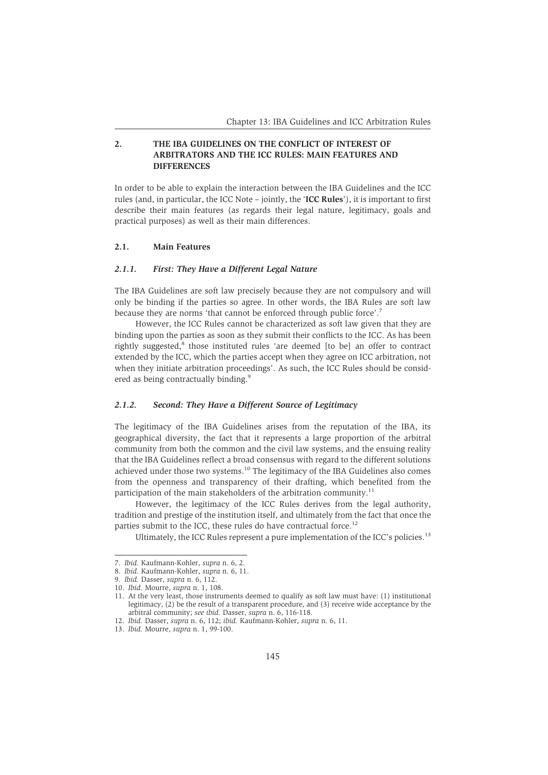## **2. THE IBA GUIDELINES ON THE CONFLICT OF INTEREST OF ARBITRATORS AND THE ICC RULES: MAIN FEATURES AND DIFFERENCES**

In order to be able to explain the interaction between the IBA Guidelines and the ICC rules (and, in particular, the ICC Note – jointly, the '**ICC Rules**'), it is important to first describe their main features (as regards their legal nature, legitimacy, goals and practical purposes) as well as their main differences.

## **2.1. Main Features**

#### *2.1.1. First: They Have a Different Legal Nature*

The IBA Guidelines are soft law precisely because they are not compulsory and will only be binding if the parties so agree. In other words, the IBA Rules are soft law because they are norms 'that cannot be enforced through public force'.7

However, the ICC Rules cannot be characterized as soft law given that they are binding upon the parties as soon as they submit their conflicts to the ICC. As has been rightly suggested,<sup>8</sup> those instituted rules 'are deemed [to be] an offer to contract extended by the ICC, which the parties accept when they agree on ICC arbitration, not when they initiate arbitration proceedings'. As such, the ICC Rules should be considered as being contractually binding.<sup>9</sup>

#### *2.1.2. Second: They Have a Different Source of Legitimacy*

The legitimacy of the IBA Guidelines arises from the reputation of the IBA, its geographical diversity, the fact that it represents a large proportion of the arbitral community from both the common and the civil law systems, and the ensuing reality that the IBA Guidelines reflect a broad consensus with regard to the different solutions achieved under those two systems.<sup>10</sup> The legitimacy of the IBA Guidelines also comes from the openness and transparency of their drafting, which benefited from the participation of the main stakeholders of the arbitration community.<sup>11</sup>

However, the legitimacy of the ICC Rules derives from the legal authority, tradition and prestige of the institution itself, and ultimately from the fact that once the parties submit to the ICC, these rules do have contractual force.<sup>12</sup>

Ultimately, the ICC Rules represent a pure implementation of the ICC's policies.<sup>13</sup>

<sup>7.</sup> *Ibid.* Kaufmann-Kohler, *supra* n. 6, 2.

<sup>8.</sup> *Ibid.* Kaufmann-Kohler, *supra* n. 6, 11.

<sup>9.</sup> *Ibid.* Dasser, *supra* n. 6, 112.

<sup>10.</sup> *Ibid.* Mourre, *supra* n. 1, 108.

<sup>11.</sup> At the very least, those instruments deemed to qualify as soft law must have: (1) institutional legitimacy, (2) be the result of a transparent procedure, and (3) receive wide acceptance by the arbitral community; *see ibid.* Dasser, *supra* n. 6, 116-118.

<sup>12.</sup> *Ibid.* Dasser, *supra* n. 6, 112; *ibid.* Kaufmann-Kohler, *supra* n. 6, 11.

<sup>13.</sup> *Ibid.* Mourre, *supra* n. 1, 99-100.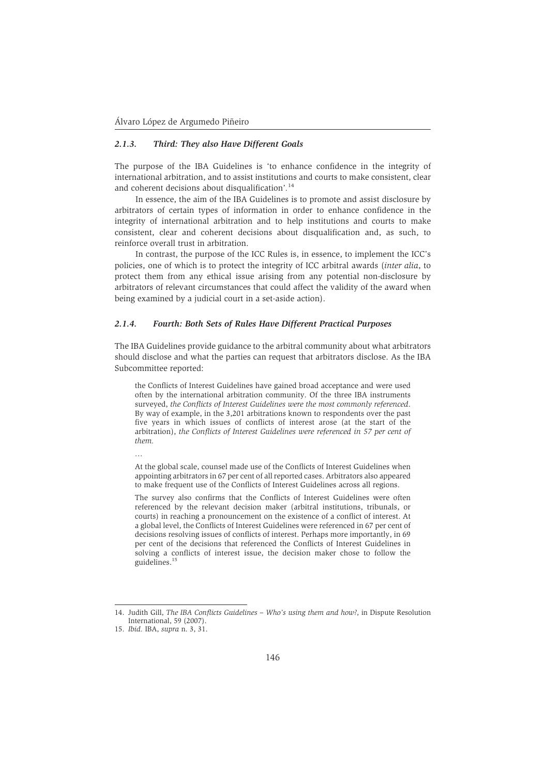#### *2.1.3. Third: They also Have Different Goals*

The purpose of the IBA Guidelines is 'to enhance confidence in the integrity of international arbitration, and to assist institutions and courts to make consistent, clear and coherent decisions about disqualification'*.* 14

In essence, the aim of the IBA Guidelines is to promote and assist disclosure by arbitrators of certain types of information in order to enhance confidence in the integrity of international arbitration and to help institutions and courts to make consistent, clear and coherent decisions about disqualification and, as such, to reinforce overall trust in arbitration.

In contrast, the purpose of the ICC Rules is, in essence, to implement the ICC's policies, one of which is to protect the integrity of ICC arbitral awards (*inter alia*, to protect them from any ethical issue arising from any potential non-disclosure by arbitrators of relevant circumstances that could affect the validity of the award when being examined by a judicial court in a set-aside action).

#### *2.1.4. Fourth: Both Sets of Rules Have Different Practical Purposes*

The IBA Guidelines provide guidance to the arbitral community about what arbitrators should disclose and what the parties can request that arbitrators disclose. As the IBA Subcommittee reported:

the Conflicts of Interest Guidelines have gained broad acceptance and were used often by the international arbitration community. Of the three IBA instruments surveyed, *the Conflicts of Interest Guidelines were the most commonly referenced*. By way of example, in the 3,201 arbitrations known to respondents over the past five years in which issues of conflicts of interest arose (at the start of the arbitration), *the Conflicts of Interest Guidelines were referenced in 57 per cent of them.*

…

At the global scale, counsel made use of the Conflicts of Interest Guidelines when appointing arbitrators in 67 per cent of all reported cases. Arbitrators also appeared to make frequent use of the Conflicts of Interest Guidelines across all regions.

The survey also confirms that the Conflicts of Interest Guidelines were often referenced by the relevant decision maker (arbitral institutions, tribunals, or courts) in reaching a pronouncement on the existence of a conflict of interest. At a global level, the Conflicts of Interest Guidelines were referenced in 67 per cent of decisions resolving issues of conflicts of interest. Perhaps more importantly, in 69 per cent of the decisions that referenced the Conflicts of Interest Guidelines in solving a conflicts of interest issue, the decision maker chose to follow the guidelines.<sup>15</sup>

<sup>14.</sup> Judith Gill, *The IBA Conflicts Guidelines – Who's using them and how?*, in Dispute Resolution International, 59 (2007).

<sup>15.</sup> *Ibid.* IBA, *supra* n. 3, 31.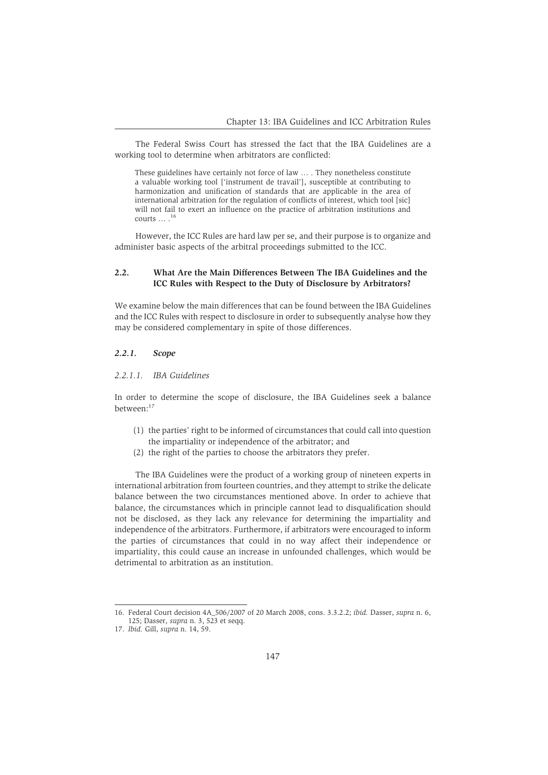The Federal Swiss Court has stressed the fact that the IBA Guidelines are a working tool to determine when arbitrators are conflicted:

These guidelines have certainly not force of law … . They nonetheless constitute a valuable working tool ['instrument de travail'], susceptible at contributing to harmonization and unification of standards that are applicable in the area of international arbitration for the regulation of conflicts of interest, which tool [sic] will not fail to exert an influence on the practice of arbitration institutions and courts … .<sup>16</sup>

However, the ICC Rules are hard law per se, and their purpose is to organize and administer basic aspects of the arbitral proceedings submitted to the ICC.

## **2.2. What Are the Main Differences Between The IBA Guidelines and the ICC Rules with Respect to the Duty of Disclosure by Arbitrators?**

We examine below the main differences that can be found between the IBA Guidelines and the ICC Rules with respect to disclosure in order to subsequently analyse how they may be considered complementary in spite of those differences.

#### *2.2.1. Scope*

#### *2.2.1.1. IBA Guidelines*

In order to determine the scope of disclosure, the IBA Guidelines seek a balance between:17

- (1) the parties' right to be informed of circumstances that could call into question the impartiality or independence of the arbitrator; and
- (2) the right of the parties to choose the arbitrators they prefer.

The IBA Guidelines were the product of a working group of nineteen experts in international arbitration from fourteen countries, and they attempt to strike the delicate balance between the two circumstances mentioned above. In order to achieve that balance, the circumstances which in principle cannot lead to disqualification should not be disclosed, as they lack any relevance for determining the impartiality and independence of the arbitrators. Furthermore, if arbitrators were encouraged to inform the parties of circumstances that could in no way affect their independence or impartiality, this could cause an increase in unfounded challenges, which would be detrimental to arbitration as an institution.

<sup>16.</sup> Federal Court decision 4A\_506/2007 of 20 March 2008, cons. 3.3.2.2; *ibid.* Dasser, *supra* n. 6, 125; Dasser, *supra* n. 3, 523 et seqq.

<sup>17.</sup> *Ibid.* Gill, *supra* n. 14, 59.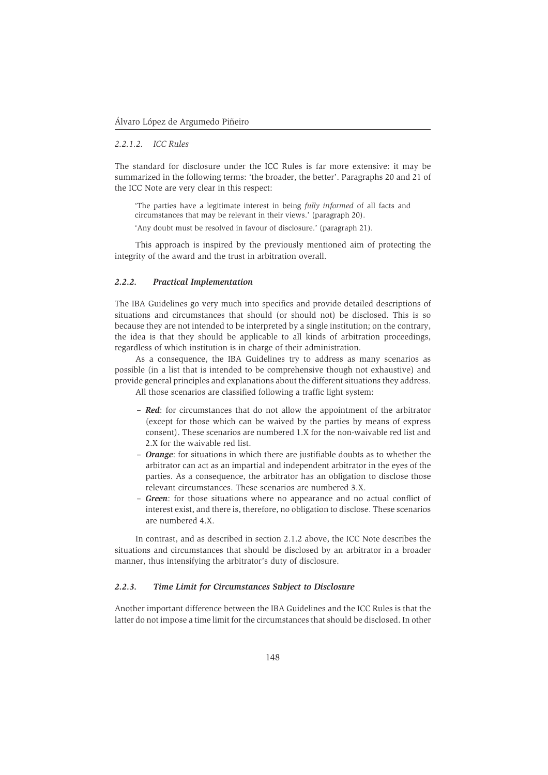#### *2.2.1.2. ICC Rules*

The standard for disclosure under the ICC Rules is far more extensive: it may be summarized in the following terms: 'the broader, the better'. Paragraphs 20 and 21 of the ICC Note are very clear in this respect:

'The parties have a legitimate interest in being *fully informed* of all facts and circumstances that may be relevant in their views.' (paragraph 20).

'Any doubt must be resolved in favour of disclosure.' (paragraph 21).

This approach is inspired by the previously mentioned aim of protecting the integrity of the award and the trust in arbitration overall.

## *2.2.2. Practical Implementation*

The IBA Guidelines go very much into specifics and provide detailed descriptions of situations and circumstances that should (or should not) be disclosed. This is so because they are not intended to be interpreted by a single institution; on the contrary, the idea is that they should be applicable to all kinds of arbitration proceedings, regardless of which institution is in charge of their administration.

As a consequence, the IBA Guidelines try to address as many scenarios as possible (in a list that is intended to be comprehensive though not exhaustive) and provide general principles and explanations about the different situations they address.

All those scenarios are classified following a traffic light system:

- *Red*: for circumstances that do not allow the appointment of the arbitrator (except for those which can be waived by the parties by means of express consent). These scenarios are numbered 1.X for the non-waivable red list and 2.X for the waivable red list.
- *Orange*: for situations in which there are justifiable doubts as to whether the arbitrator can act as an impartial and independent arbitrator in the eyes of the parties. As a consequence, the arbitrator has an obligation to disclose those relevant circumstances. These scenarios are numbered 3.X.
- *Green*: for those situations where no appearance and no actual conflict of interest exist, and there is, therefore, no obligation to disclose. These scenarios are numbered 4.X.

In contrast, and as described in section 2.1.2 above, the ICC Note describes the situations and circumstances that should be disclosed by an arbitrator in a broader manner, thus intensifying the arbitrator's duty of disclosure.

#### *2.2.3. Time Limit for Circumstances Subject to Disclosure*

Another important difference between the IBA Guidelines and the ICC Rules is that the latter do not impose a time limit for the circumstances that should be disclosed. In other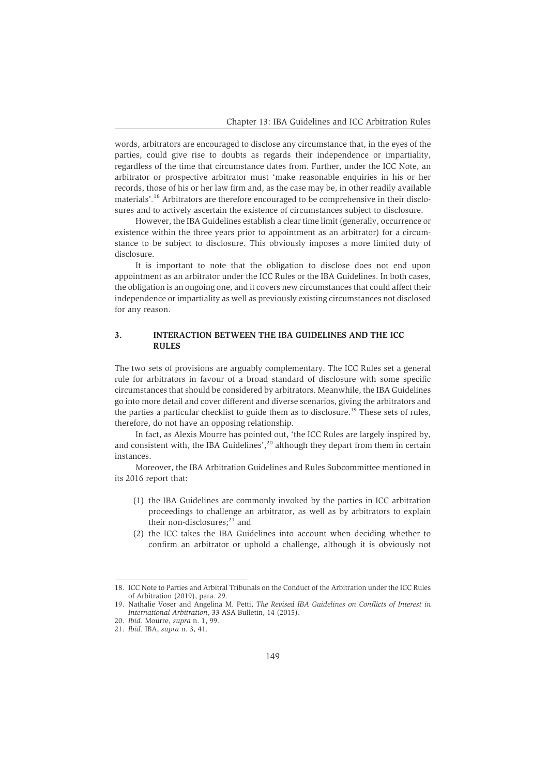words, arbitrators are encouraged to disclose any circumstance that, in the eyes of the parties, could give rise to doubts as regards their independence or impartiality, regardless of the time that circumstance dates from. Further, under the ICC Note, an arbitrator or prospective arbitrator must 'make reasonable enquiries in his or her records, those of his or her law firm and, as the case may be, in other readily available materials'*.* <sup>18</sup> Arbitrators are therefore encouraged to be comprehensive in their disclosures and to actively ascertain the existence of circumstances subject to disclosure.

However, the IBA Guidelines establish a clear time limit (generally, occurrence or existence within the three years prior to appointment as an arbitrator) for a circumstance to be subject to disclosure. This obviously imposes a more limited duty of disclosure.

It is important to note that the obligation to disclose does not end upon appointment as an arbitrator under the ICC Rules or the IBA Guidelines. In both cases, the obligation is an ongoing one, and it covers new circumstances that could affect their independence or impartiality as well as previously existing circumstances not disclosed for any reason.

## **3. INTERACTION BETWEEN THE IBA GUIDELINES AND THE ICC RULES**

The two sets of provisions are arguably complementary. The ICC Rules set a general rule for arbitrators in favour of a broad standard of disclosure with some specific circumstances that should be considered by arbitrators. Meanwhile, the IBA Guidelines go into more detail and cover different and diverse scenarios, giving the arbitrators and the parties a particular checklist to guide them as to disclosure.<sup>19</sup> These sets of rules, therefore, do not have an opposing relationship.

In fact, as Alexis Mourre has pointed out, 'the ICC Rules are largely inspired by, and consistent with, the IBA Guidelines',<sup>20</sup> although they depart from them in certain instances.

Moreover, the IBA Arbitration Guidelines and Rules Subcommittee mentioned in its 2016 report that:

- (1) the IBA Guidelines are commonly invoked by the parties in ICC arbitration proceedings to challenge an arbitrator, as well as by arbitrators to explain their non-disclosures;<sup>21</sup> and
- (2) the ICC takes the IBA Guidelines into account when deciding whether to confirm an arbitrator or uphold a challenge, although it is obviously not

<sup>18.</sup> ICC Note to Parties and Arbitral Tribunals on the Conduct of the Arbitration under the ICC Rules of Arbitration (2019), para. 29.

<sup>19.</sup> Nathalie Voser and Angelina M. Petti, *The Revised IBA Guidelines on Conflicts of Interest in International Arbitration*, 33 ASA Bulletin, 14 (2015).

<sup>20.</sup> *Ibid.* Mourre, *supra* n. 1, 99.

<sup>21.</sup> *Ibid.* IBA, *supra* n. 3, 41.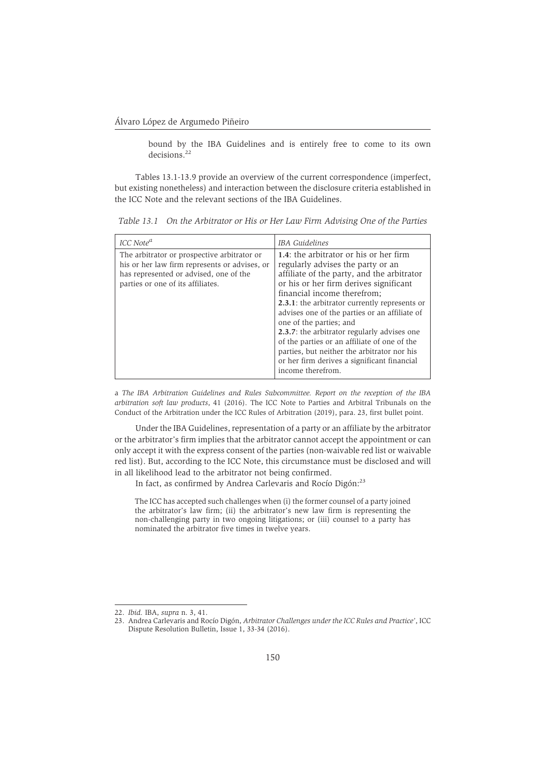bound by the IBA Guidelines and is entirely free to come to its own decisions.<sup>22</sup>

Tables 13.1-13.9 provide an overview of the current correspondence (imperfect, but existing nonetheless) and interaction between the disclosure criteria established in the ICC Note and the relevant sections of the IBA Guidelines.

| ICC Note <sup>a</sup>                                                                                                                                                       | IBA Guidelines                                                                                                                                                                                                                                                                                                                                                                                                                                                                                                                                           |
|-----------------------------------------------------------------------------------------------------------------------------------------------------------------------------|----------------------------------------------------------------------------------------------------------------------------------------------------------------------------------------------------------------------------------------------------------------------------------------------------------------------------------------------------------------------------------------------------------------------------------------------------------------------------------------------------------------------------------------------------------|
| The arbitrator or prospective arbitrator or<br>his or her law firm represents or advises, or<br>has represented or advised, one of the<br>parties or one of its affiliates. | 1.4: the arbitrator or his or her firm<br>regularly advises the party or an<br>affiliate of the party, and the arbitrator<br>or his or her firm derives significant<br>financial income therefrom;<br>2.3.1: the arbitrator currently represents or<br>advises one of the parties or an affiliate of<br>one of the parties; and<br><b>2.3.7:</b> the arbitrator regularly advises one<br>of the parties or an affiliate of one of the<br>parties, but neither the arbitrator nor his<br>or her firm derives a significant financial<br>income therefrom. |

*Table 13.1 On the Arbitrator or His or Her Law Firm Advising One of the Parties*

a *The IBA Arbitration Guidelines and Rules Subcommittee. Report on the reception of the IBA arbitration soft law products*, 41 (2016). The ICC Note to Parties and Arbitral Tribunals on the Conduct of the Arbitration under the ICC Rules of Arbitration (2019), para. 23, first bullet point.

Under the IBA Guidelines, representation of a party or an affiliate by the arbitrator or the arbitrator's firm implies that the arbitrator cannot accept the appointment or can only accept it with the express consent of the parties (non-waivable red list or waivable red list). But, according to the ICC Note, this circumstance must be disclosed and will in all likelihood lead to the arbitrator not being confirmed.

In fact, as confirmed by Andrea Carlevaris and Rocío Digón:<sup>23</sup>

The ICC has accepted such challenges when (i) the former counsel of a party joined the arbitrator's law firm; (ii) the arbitrator's new law firm is representing the non-challenging party in two ongoing litigations; or (iii) counsel to a party has nominated the arbitrator five times in twelve years.

<sup>22.</sup> *Ibid.* IBA, *supra* n. 3, 41.

<sup>23.</sup> Andrea Carlevaris and Rocío Digón, *Arbitrator Challenges under the ICC Rules and Practice'*, ICC Dispute Resolution Bulletin, Issue 1, 33-34 (2016).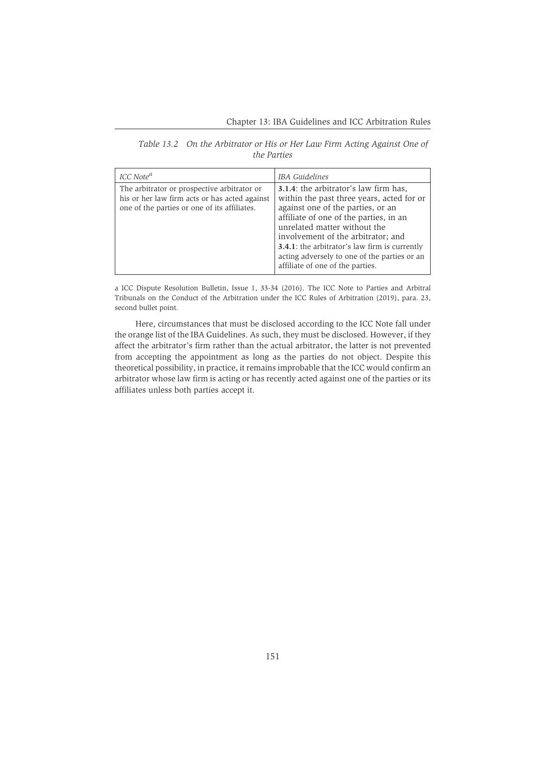| Table 13.2 On the Arbitrator or His or Her Law Firm Acting Against One of |
|---------------------------------------------------------------------------|
| the Parties                                                               |

| ICC Note <sup>a</sup>                                                                                                                        | IBA Guidelines                                                                                                                                                                                                                                                                                                                                                                       |
|----------------------------------------------------------------------------------------------------------------------------------------------|--------------------------------------------------------------------------------------------------------------------------------------------------------------------------------------------------------------------------------------------------------------------------------------------------------------------------------------------------------------------------------------|
| The arbitrator or prospective arbitrator or<br>his or her law firm acts or has acted against<br>one of the parties or one of its affiliates. | 3.1.4: the arbitrator's law firm has,<br>within the past three years, acted for or<br>against one of the parties, or an<br>affiliate of one of the parties, in an<br>unrelated matter without the<br>involvement of the arbitrator; and<br><b>3.4.1</b> : the arbitrator's law firm is currently<br>acting adversely to one of the parties or an<br>affiliate of one of the parties. |

a ICC Dispute Resolution Bulletin, Issue 1, 33-34 (2016). The ICC Note to Parties and Arbitral Tribunals on the Conduct of the Arbitration under the ICC Rules of Arbitration (2019), para. 23, second bullet point.

Here, circumstances that must be disclosed according to the ICC Note fall under the orange list of the IBA Guidelines. As such, they must be disclosed. However, if they affect the arbitrator's firm rather than the actual arbitrator, the latter is not prevented from accepting the appointment as long as the parties do not object. Despite this theoretical possibility, in practice, it remains improbable that the ICC would confirm an arbitrator whose law firm is acting or has recently acted against one of the parties or its affiliates unless both parties accept it.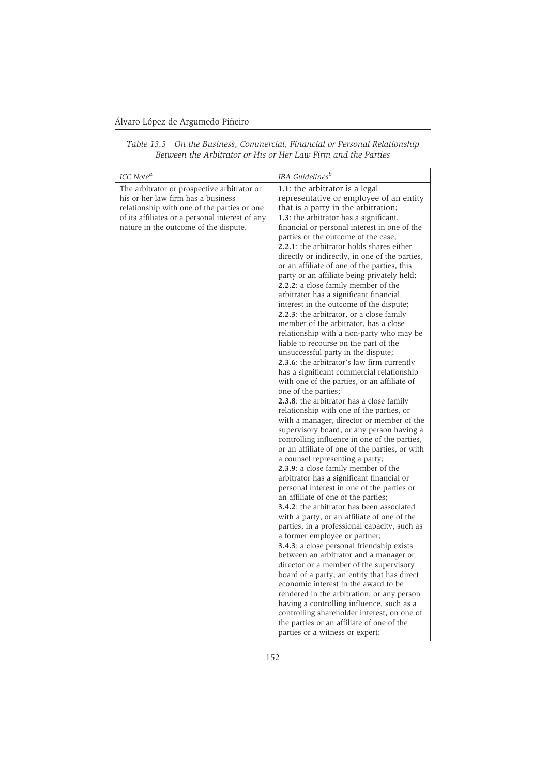## Álvaro López de Argumedo Piñeiro

| ICC Note <sup>a</sup>                                                                                                                                                                                                        | IBA Guidelines <sup>b</sup>                                                                                                                                                                                                                                                                                                                                                                                                                                                                                                                                                                                                                                                                                                                                                                                                                                                                                                                                                                                                                                                                                                                                                                                                                                                                                                                                                                                                                                                                                                                                                                                                                                                                                                                                                                                                                                                                                                                    |
|------------------------------------------------------------------------------------------------------------------------------------------------------------------------------------------------------------------------------|------------------------------------------------------------------------------------------------------------------------------------------------------------------------------------------------------------------------------------------------------------------------------------------------------------------------------------------------------------------------------------------------------------------------------------------------------------------------------------------------------------------------------------------------------------------------------------------------------------------------------------------------------------------------------------------------------------------------------------------------------------------------------------------------------------------------------------------------------------------------------------------------------------------------------------------------------------------------------------------------------------------------------------------------------------------------------------------------------------------------------------------------------------------------------------------------------------------------------------------------------------------------------------------------------------------------------------------------------------------------------------------------------------------------------------------------------------------------------------------------------------------------------------------------------------------------------------------------------------------------------------------------------------------------------------------------------------------------------------------------------------------------------------------------------------------------------------------------------------------------------------------------------------------------------------------------|
| The arbitrator or prospective arbitrator or<br>his or her law firm has a business<br>relationship with one of the parties or one<br>of its affiliates or a personal interest of any<br>nature in the outcome of the dispute. | 1.1: the arbitrator is a legal<br>representative or employee of an entity<br>that is a party in the arbitration;<br>1.3: the arbitrator has a significant,<br>financial or personal interest in one of the<br>parties or the outcome of the case;<br>2.2.1: the arbitrator holds shares either<br>directly or indirectly, in one of the parties,<br>or an affiliate of one of the parties, this<br>party or an affiliate being privately held;<br>2.2.2: a close family member of the<br>arbitrator has a significant financial<br>interest in the outcome of the dispute;<br><b>2.2.3</b> : the arbitrator, or a close family<br>member of the arbitrator, has a close<br>relationship with a non-party who may be<br>liable to recourse on the part of the<br>unsuccessful party in the dispute;<br>2.3.6: the arbitrator's law firm currently<br>has a significant commercial relationship<br>with one of the parties, or an affiliate of<br>one of the parties;<br>2.3.8: the arbitrator has a close family<br>relationship with one of the parties, or<br>with a manager, director or member of the<br>supervisory board, or any person having a<br>controlling influence in one of the parties,<br>or an affiliate of one of the parties, or with<br>a counsel representing a party;<br><b>2.3.9:</b> a close family member of the<br>arbitrator has a significant financial or<br>personal interest in one of the parties or<br>an affiliate of one of the parties;<br><b>3.4.2</b> : the arbitrator has been associated<br>with a party, or an affiliate of one of the<br>parties, in a professional capacity, such as<br>a former employee or partner;<br><b>3.4.3</b> : a close personal friendship exists<br>between an arbitrator and a manager or<br>director or a member of the supervisory<br>board of a party; an entity that has direct<br>economic interest in the award to be<br>rendered in the arbitration; or any person |
|                                                                                                                                                                                                                              | having a controlling influence, such as a<br>controlling shareholder interest, on one of<br>the parties or an affiliate of one of the                                                                                                                                                                                                                                                                                                                                                                                                                                                                                                                                                                                                                                                                                                                                                                                                                                                                                                                                                                                                                                                                                                                                                                                                                                                                                                                                                                                                                                                                                                                                                                                                                                                                                                                                                                                                          |
|                                                                                                                                                                                                                              | parties or a witness or expert;                                                                                                                                                                                                                                                                                                                                                                                                                                                                                                                                                                                                                                                                                                                                                                                                                                                                                                                                                                                                                                                                                                                                                                                                                                                                                                                                                                                                                                                                                                                                                                                                                                                                                                                                                                                                                                                                                                                |

*Table 13.3 On the Business, Commercial, Financial or Personal Relationship Between the Arbitrator or His or Her Law Firm and the Parties*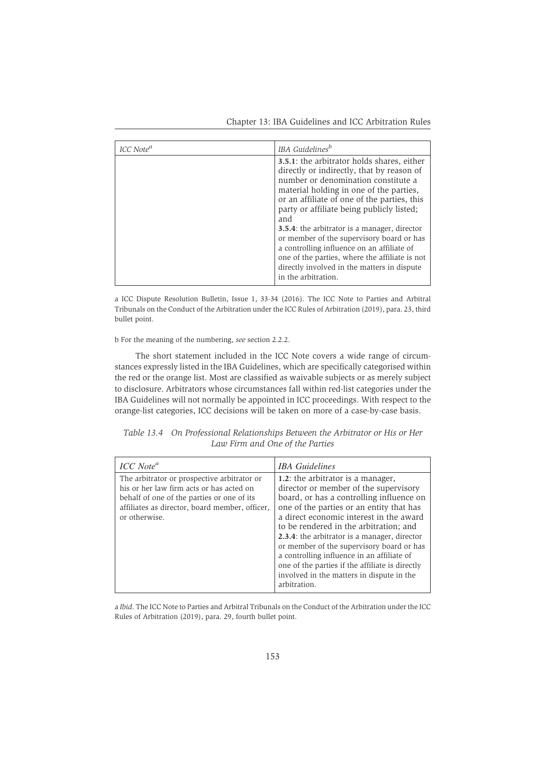| ICC Note <sup>a</sup> | IBA Guidelines <sup>b</sup>                                                                                                                                                                                                                                                                                                                                                                                                                                                                                                                             |
|-----------------------|---------------------------------------------------------------------------------------------------------------------------------------------------------------------------------------------------------------------------------------------------------------------------------------------------------------------------------------------------------------------------------------------------------------------------------------------------------------------------------------------------------------------------------------------------------|
|                       | 3.5.1: the arbitrator holds shares, either<br>directly or indirectly, that by reason of<br>number or denomination constitute a<br>material holding in one of the parties,<br>or an affiliate of one of the parties, this<br>party or affiliate being publicly listed;<br>and<br><b>3.5.4</b> : the arbitrator is a manager, director<br>or member of the supervisory board or has<br>a controlling influence on an affiliate of<br>one of the parties, where the affiliate is not<br>directly involved in the matters in dispute<br>in the arbitration. |

a ICC Dispute Resolution Bulletin, Issue 1, 33-34 (2016). The ICC Note to Parties and Arbitral Tribunals on the Conduct of the Arbitration under the ICC Rules of Arbitration (2019), para. 23, third bullet point.

b For the meaning of the numbering, *see* section 2.2.2.

The short statement included in the ICC Note covers a wide range of circumstances expressly listed in the IBA Guidelines, which are specifically categorised within the red or the orange list. Most are classified as waivable subjects or as merely subject to disclosure. Arbitrators whose circumstances fall within red-list categories under the IBA Guidelines will not normally be appointed in ICC proceedings. With respect to the orange-list categories, ICC decisions will be taken on more of a case-by-case basis.

| Table 13.4 On Professional Relationships Between the Arbitrator or His or Her |
|-------------------------------------------------------------------------------|
| Law Firm and One of the Parties                                               |

| ICC Note <sup>a</sup>                                                                                                                                                                                    | <b>IBA</b> Guidelines                                                                                                                                                                                                                                                                                                                                                                                                                                                                                              |
|----------------------------------------------------------------------------------------------------------------------------------------------------------------------------------------------------------|--------------------------------------------------------------------------------------------------------------------------------------------------------------------------------------------------------------------------------------------------------------------------------------------------------------------------------------------------------------------------------------------------------------------------------------------------------------------------------------------------------------------|
| The arbitrator or prospective arbitrator or<br>his or her law firm acts or has acted on<br>behalf of one of the parties or one of its<br>affiliates as director, board member, officer,<br>or otherwise. | 1.2: the arbitrator is a manager,<br>director or member of the supervisory<br>board, or has a controlling influence on<br>one of the parties or an entity that has<br>a direct economic interest in the award<br>to be rendered in the arbitration; and<br>2.3.4: the arbitrator is a manager, director<br>or member of the supervisory board or has<br>a controlling influence in an affiliate of<br>one of the parties if the affiliate is directly<br>involved in the matters in dispute in the<br>arbitration. |

a *Ibid*. The ICC Note to Parties and Arbitral Tribunals on the Conduct of the Arbitration under the ICC Rules of Arbitration (2019), para. 29, fourth bullet point.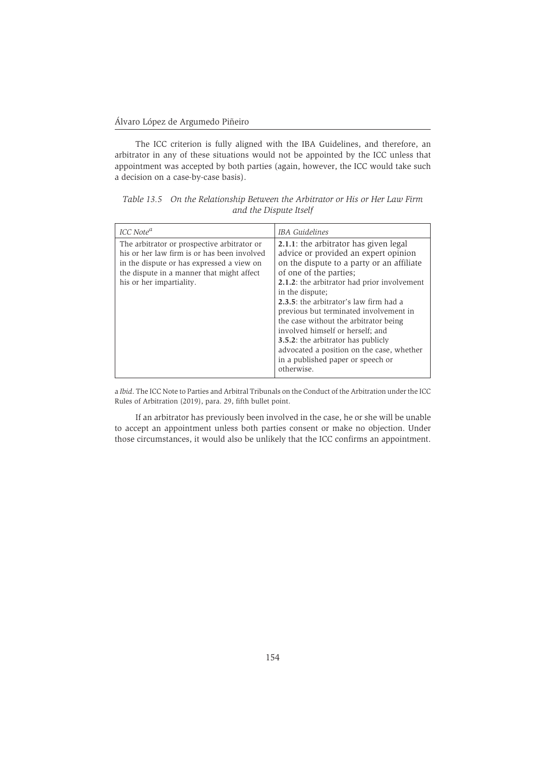The ICC criterion is fully aligned with the IBA Guidelines, and therefore, an arbitrator in any of these situations would not be appointed by the ICC unless that appointment was accepted by both parties (again, however, the ICC would take such a decision on a case-by-case basis).

| ICC Note <sup>a</sup>                                                                                                                                                                                            | IBA Guidelines                                                                                                                                                                                                                                                                                                                                                                                                                                                                                                                               |
|------------------------------------------------------------------------------------------------------------------------------------------------------------------------------------------------------------------|----------------------------------------------------------------------------------------------------------------------------------------------------------------------------------------------------------------------------------------------------------------------------------------------------------------------------------------------------------------------------------------------------------------------------------------------------------------------------------------------------------------------------------------------|
| The arbitrator or prospective arbitrator or<br>his or her law firm is or has been involved<br>in the dispute or has expressed a view on<br>the dispute in a manner that might affect<br>his or her impartiality. | 2.1.1: the arbitrator has given legal<br>advice or provided an expert opinion<br>on the dispute to a party or an affiliate<br>of one of the parties;<br><b>2.1.2</b> : the arbitrator had prior involvement<br>in the dispute;<br>2.3.5: the arbitrator's law firm had a<br>previous but terminated involvement in<br>the case without the arbitrator being<br>involved himself or herself; and<br><b>3.5.2:</b> the arbitrator has publicly<br>advocated a position on the case, whether<br>in a published paper or speech or<br>otherwise. |

*Table 13.5 On the Relationship Between the Arbitrator or His or Her Law Firm and the Dispute Itself*

a *Ibid*. The ICC Note to Parties and Arbitral Tribunals on the Conduct of the Arbitration under the ICC Rules of Arbitration (2019), para. 29, fifth bullet point.

If an arbitrator has previously been involved in the case, he or she will be unable to accept an appointment unless both parties consent or make no objection. Under those circumstances, it would also be unlikely that the ICC confirms an appointment.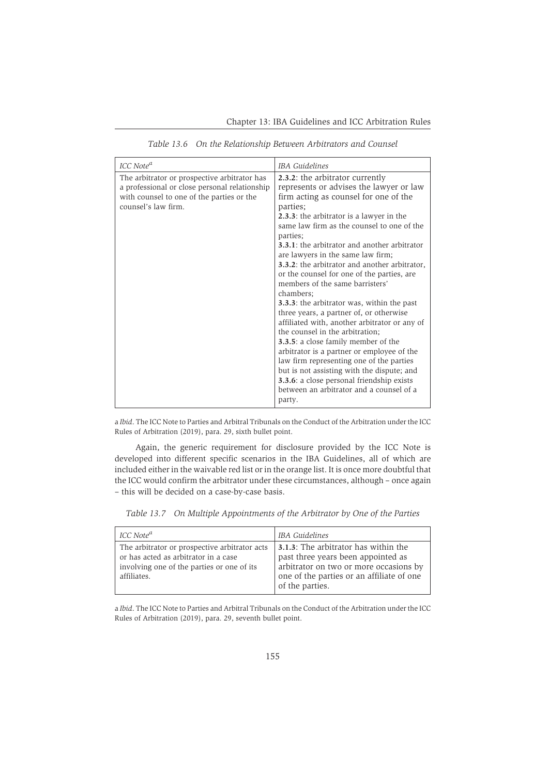| ICC Note <sup>a</sup>                                                                                                                                             | <b>IBA</b> Guidelines                                                                                                                                                                                                                                                                                                                                                                                                                                                                                                                                                                                                                                                                                                                                                                                                                                                                                                                                                          |
|-------------------------------------------------------------------------------------------------------------------------------------------------------------------|--------------------------------------------------------------------------------------------------------------------------------------------------------------------------------------------------------------------------------------------------------------------------------------------------------------------------------------------------------------------------------------------------------------------------------------------------------------------------------------------------------------------------------------------------------------------------------------------------------------------------------------------------------------------------------------------------------------------------------------------------------------------------------------------------------------------------------------------------------------------------------------------------------------------------------------------------------------------------------|
| The arbitrator or prospective arbitrator has<br>a professional or close personal relationship<br>with counsel to one of the parties or the<br>counsel's law firm. | 2.3.2: the arbitrator currently<br>represents or advises the lawyer or law<br>firm acting as counsel for one of the<br>parties;<br><b>2.3.3:</b> the arbitrator is a lawyer in the<br>same law firm as the counsel to one of the<br>parties;<br><b>3.3.1</b> : the arbitrator and another arbitrator<br>are lawyers in the same law firm;<br>3.3.2: the arbitrator and another arbitrator,<br>or the counsel for one of the parties, are<br>members of the same barristers'<br>chambers;<br><b>3.3.3</b> : the arbitrator was, within the past<br>three years, a partner of, or otherwise<br>affiliated with, another arbitrator or any of<br>the counsel in the arbitration;<br><b>3.3.5:</b> a close family member of the<br>arbitrator is a partner or employee of the<br>law firm representing one of the parties<br>but is not assisting with the dispute; and<br><b>3.3.6</b> : a close personal friendship exists<br>between an arbitrator and a counsel of a<br>party. |

*Table 13.6 On the Relationship Between Arbitrators and Counsel*

a *Ibid*. The ICC Note to Parties and Arbitral Tribunals on the Conduct of the Arbitration under the ICC Rules of Arbitration (2019), para. 29, sixth bullet point.

Again, the generic requirement for disclosure provided by the ICC Note is developed into different specific scenarios in the IBA Guidelines, all of which are included either in the waivable red list or in the orange list. It is once more doubtful that the ICC would confirm the arbitrator under these circumstances, although – once again – this will be decided on a case-by-case basis.

*Table 13.7 On Multiple Appointments of the Arbitrator by One of the Parties*

| ICC Note <sup>a</sup>                                                                                                                              | IBA Guidelines                                                                                                                                                                              |
|----------------------------------------------------------------------------------------------------------------------------------------------------|---------------------------------------------------------------------------------------------------------------------------------------------------------------------------------------------|
| The arbitrator or prospective arbitrator acts<br>or has acted as arbitrator in a case<br>involving one of the parties or one of its<br>affiliates. | <b>3.1.3:</b> The arbitrator has within the<br>past three years been appointed as<br>arbitrator on two or more occasions by<br>one of the parties or an affiliate of one<br>of the parties. |

a *Ibid*. The ICC Note to Parties and Arbitral Tribunals on the Conduct of the Arbitration under the ICC Rules of Arbitration (2019), para. 29, seventh bullet point.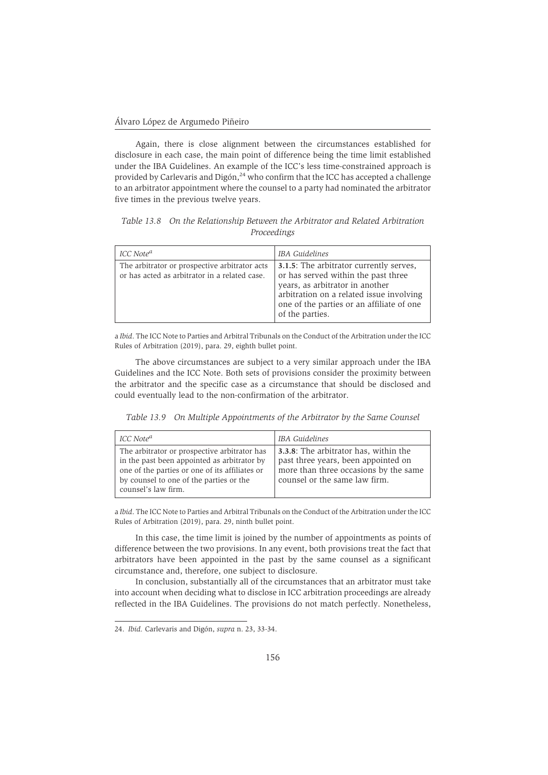Again, there is close alignment between the circumstances established for disclosure in each case, the main point of difference being the time limit established under the IBA Guidelines. An example of the ICC's less time-constrained approach is provided by Carlevaris and Digón,<sup>24</sup> who confirm that the ICC has accepted a challenge to an arbitrator appointment where the counsel to a party had nominated the arbitrator five times in the previous twelve years.

*Table 13.8 On the Relationship Between the Arbitrator and Related Arbitration Proceedings*

| ICC Note <sup>a</sup>                                                                          | <b>IBA</b> Guidelines                                                                                                                                                                                                         |
|------------------------------------------------------------------------------------------------|-------------------------------------------------------------------------------------------------------------------------------------------------------------------------------------------------------------------------------|
| The arbitrator or prospective arbitrator acts<br>or has acted as arbitrator in a related case. | 3.1.5: The arbitrator currently serves,<br>or has served within the past three<br>years, as arbitrator in another<br>arbitration on a related issue involving<br>one of the parties or an affiliate of one<br>of the parties. |

a *Ibid*. The ICC Note to Parties and Arbitral Tribunals on the Conduct of the Arbitration under the ICC Rules of Arbitration (2019), para. 29, eighth bullet point.

The above circumstances are subject to a very similar approach under the IBA Guidelines and the ICC Note. Both sets of provisions consider the proximity between the arbitrator and the specific case as a circumstance that should be disclosed and could eventually lead to the non-confirmation of the arbitrator.

*Table 13.9 On Multiple Appointments of the Arbitrator by the Same Counsel*

| ICC Note <sup>a</sup>                                                                                                                                                                                           | IBA Guidelines                                                                                                                                                |
|-----------------------------------------------------------------------------------------------------------------------------------------------------------------------------------------------------------------|---------------------------------------------------------------------------------------------------------------------------------------------------------------|
| The arbitrator or prospective arbitrator has<br>in the past been appointed as arbitrator by<br>one of the parties or one of its affiliates or<br>by counsel to one of the parties or the<br>counsel's law firm. | <b>3.3.8:</b> The arbitrator has, within the<br>past three years, been appointed on<br>more than three occasions by the same<br>counsel or the same law firm. |

a *Ibid*. The ICC Note to Parties and Arbitral Tribunals on the Conduct of the Arbitration under the ICC Rules of Arbitration (2019), para. 29, ninth bullet point.

In this case, the time limit is joined by the number of appointments as points of difference between the two provisions. In any event, both provisions treat the fact that arbitrators have been appointed in the past by the same counsel as a significant circumstance and, therefore, one subject to disclosure.

In conclusion, substantially all of the circumstances that an arbitrator must take into account when deciding what to disclose in ICC arbitration proceedings are already reflected in the IBA Guidelines. The provisions do not match perfectly. Nonetheless,

<sup>24.</sup> *Ibid.* Carlevaris and Digón, *supra* n. 23, 33-34.